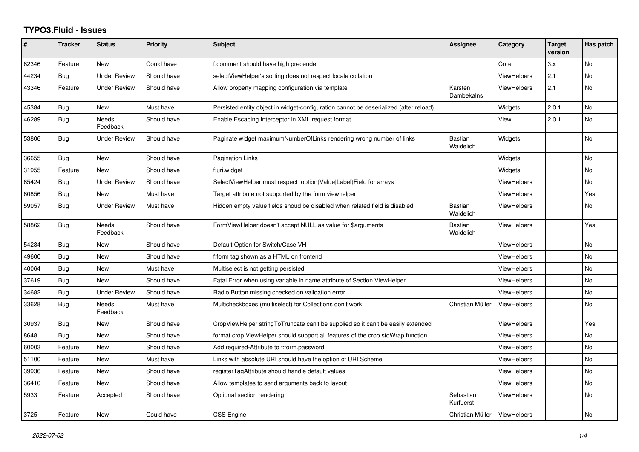## **TYPO3.Fluid - Issues**

| ∦     | <b>Tracker</b> | <b>Status</b>            | <b>Priority</b> | <b>Subject</b>                                                                        | Assignee                    | Category           | <b>Target</b><br>version | Has patch      |
|-------|----------------|--------------------------|-----------------|---------------------------------------------------------------------------------------|-----------------------------|--------------------|--------------------------|----------------|
| 62346 | Feature        | <b>New</b>               | Could have      | f:comment should have high precende                                                   |                             | Core               | 3.x                      | <b>No</b>      |
| 44234 | Bug            | <b>Under Review</b>      | Should have     | selectViewHelper's sorting does not respect locale collation                          |                             | <b>ViewHelpers</b> | 2.1                      | No             |
| 43346 | Feature        | <b>Under Review</b>      | Should have     | Allow property mapping configuration via template                                     | Karsten<br>Dambekalns       | <b>ViewHelpers</b> | 2.1                      | N <sub>o</sub> |
| 45384 | <b>Bug</b>     | New                      | Must have       | Persisted entity object in widget-configuration cannot be deserialized (after reload) |                             | Widgets            | 2.0.1                    | <b>No</b>      |
| 46289 | Bug            | <b>Needs</b><br>Feedback | Should have     | Enable Escaping Interceptor in XML request format                                     |                             | View               | 2.0.1                    | No             |
| 53806 | Bug            | <b>Under Review</b>      | Should have     | Paginate widget maximumNumberOfLinks rendering wrong number of links                  | Bastian<br>Waidelich        | Widgets            |                          | <b>No</b>      |
| 36655 | <b>Bug</b>     | <b>New</b>               | Should have     | <b>Pagination Links</b>                                                               |                             | Widgets            |                          | <b>No</b>      |
| 31955 | Feature        | New                      | Should have     | f:uri.widget                                                                          |                             | Widgets            |                          | No             |
| 65424 | Bug            | <b>Under Review</b>      | Should have     | SelectViewHelper must respect option(Value Label)Field for arrays                     |                             | <b>ViewHelpers</b> |                          | <b>No</b>      |
| 60856 | <b>Bug</b>     | <b>New</b>               | Must have       | Target attribute not supported by the form viewhelper                                 |                             | ViewHelpers        |                          | Yes            |
| 59057 | Bug            | <b>Under Review</b>      | Must have       | Hidden empty value fields shoud be disabled when related field is disabled            | <b>Bastian</b><br>Waidelich | <b>ViewHelpers</b> |                          | No             |
| 58862 | Bug            | <b>Needs</b><br>Feedback | Should have     | FormViewHelper doesn't accept NULL as value for \$arguments                           | <b>Bastian</b><br>Waidelich | <b>ViewHelpers</b> |                          | Yes            |
| 54284 | Bug            | New                      | Should have     | Default Option for Switch/Case VH                                                     |                             | <b>ViewHelpers</b> |                          | <b>No</b>      |
| 49600 | <b>Bug</b>     | <b>New</b>               | Should have     | f:form tag shown as a HTML on frontend                                                |                             | ViewHelpers        |                          | No.            |
| 40064 | Bug            | <b>New</b>               | Must have       | Multiselect is not getting persisted                                                  |                             | ViewHelpers        |                          | <b>No</b>      |
| 37619 | Bug            | <b>New</b>               | Should have     | Fatal Error when using variable in name attribute of Section ViewHelper               |                             | ViewHelpers        |                          | <b>No</b>      |
| 34682 | Bug            | <b>Under Review</b>      | Should have     | Radio Button missing checked on validation error                                      |                             | <b>ViewHelpers</b> |                          | No             |
| 33628 | Bug            | <b>Needs</b><br>Feedback | Must have       | Multicheckboxes (multiselect) for Collections don't work                              | Christian Müller            | <b>ViewHelpers</b> |                          | <b>No</b>      |
| 30937 | Bug            | New                      | Should have     | CropViewHelper stringToTruncate can't be supplied so it can't be easily extended      |                             | <b>ViewHelpers</b> |                          | Yes            |
| 8648  | <b>Bug</b>     | <b>New</b>               | Should have     | format.crop ViewHelper should support all features of the crop stdWrap function       |                             | <b>ViewHelpers</b> |                          | No             |
| 60003 | Feature        | New                      | Should have     | Add required-Attribute to f:form.password                                             |                             | <b>ViewHelpers</b> |                          | No             |
| 51100 | Feature        | New                      | Must have       | Links with absolute URI should have the option of URI Scheme                          |                             | <b>ViewHelpers</b> |                          | No             |
| 39936 | Feature        | New                      | Should have     | registerTagAttribute should handle default values                                     |                             | ViewHelpers        |                          | No             |
| 36410 | Feature        | New                      | Should have     | Allow templates to send arguments back to layout                                      |                             | <b>ViewHelpers</b> |                          | No             |
| 5933  | Feature        | Accepted                 | Should have     | Optional section rendering                                                            | Sebastian<br>Kurfuerst      | <b>ViewHelpers</b> |                          | <b>No</b>      |
| 3725  | Feature        | <b>New</b>               | Could have      | <b>CSS Engine</b>                                                                     | Christian Müller            | ViewHelpers        |                          | No             |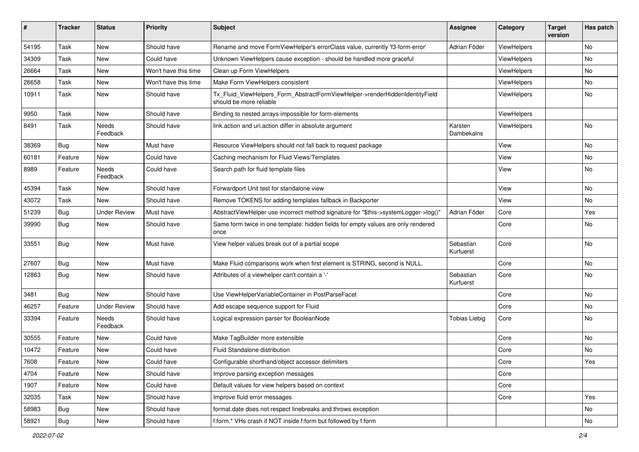| #     | <b>Tracker</b> | <b>Status</b>       | <b>Priority</b>      | <b>Subject</b>                                                                                         | Assignee               | Category    | <b>Target</b><br>version | Has patch |
|-------|----------------|---------------------|----------------------|--------------------------------------------------------------------------------------------------------|------------------------|-------------|--------------------------|-----------|
| 54195 | Task           | New                 | Should have          | Rename and move FormViewHelper's errorClass value, currently 'f3-form-error'                           | Adrian Föder           | ViewHelpers |                          | No        |
| 34309 | Task           | New                 | Could have           | Unknown ViewHelpers cause exception - should be handled more graceful                                  |                        | ViewHelpers |                          | No        |
| 26664 | Task           | New                 | Won't have this time | Clean up Form ViewHelpers                                                                              |                        | ViewHelpers |                          | No        |
| 26658 | Task           | New                 | Won't have this time | Make Form ViewHelpers consistent                                                                       |                        | ViewHelpers |                          | No        |
| 10911 | Task           | New                 | Should have          | Tx_Fluid_ViewHelpers_Form_AbstractFormViewHelper->renderHiddenIdentityField<br>should be more reliable |                        | ViewHelpers |                          | No        |
| 9950  | Task           | New                 | Should have          | Binding to nested arrays impossible for form-elements                                                  |                        | ViewHelpers |                          |           |
| 8491  | Task           | Needs<br>Feedback   | Should have          | link.action and uri.action differ in absolute argument                                                 | Karsten<br>Dambekalns  | ViewHelpers |                          | <b>No</b> |
| 38369 | Bug            | New                 | Must have            | Resource ViewHelpers should not fall back to request package                                           |                        | View        |                          | No        |
| 60181 | Feature        | New                 | Could have           | Caching mechanism for Fluid Views/Templates                                                            |                        | View        |                          | No        |
| 8989  | Feature        | Needs<br>Feedback   | Could have           | Search path for fluid template files                                                                   |                        | View        |                          | No        |
| 45394 | Task           | New                 | Should have          | Forwardport Unit test for standalone view                                                              |                        | View        |                          | No        |
| 43072 | Task           | New                 | Should have          | Remove TOKENS for adding templates fallback in Backporter                                              |                        | View        |                          | No        |
| 51239 | Bug            | <b>Under Review</b> | Must have            | AbstractViewHelper use incorrect method signature for "\$this->systemLogger->log()"                    | Adrian Föder           | Core        |                          | Yes       |
| 39990 | Bug            | New                 | Should have          | Same form twice in one template: hidden fields for empty values are only rendered<br>once              |                        | Core        |                          | No        |
| 33551 | Bug            | New                 | Must have            | View helper values break out of a partial scope                                                        | Sebastian<br>Kurfuerst | Core        |                          | No        |
| 27607 | Bug            | New                 | Must have            | Make Fluid comparisons work when first element is STRING, second is NULL.                              |                        | Core        |                          | No        |
| 12863 | Bug            | New                 | Should have          | Attributes of a viewhelper can't contain a '-'                                                         | Sebastian<br>Kurfuerst | Core        |                          | No        |
| 3481  | Bug            | New                 | Should have          | Use ViewHelperVariableContainer in PostParseFacet                                                      |                        | Core        |                          | No        |
| 46257 | Feature        | <b>Under Review</b> | Should have          | Add escape sequence support for Fluid                                                                  |                        | Core        |                          | No        |
| 33394 | Feature        | Needs<br>Feedback   | Should have          | Logical expression parser for BooleanNode                                                              | Tobias Liebig          | Core        |                          | No        |
| 30555 | Feature        | New                 | Could have           | Make TagBuilder more extensible                                                                        |                        | Core        |                          | No        |
| 10472 | Feature        | New                 | Could have           | Fluid Standalone distribution                                                                          |                        | Core        |                          | No        |
| 7608  | Feature        | New                 | Could have           | Configurable shorthand/object accessor delimiters                                                      |                        | Core        |                          | Yes       |
| 4704  | Feature        | New                 | Should have          | Improve parsing exception messages                                                                     |                        | Core        |                          |           |
| 1907  | Feature        | New                 | Could have           | Default values for view helpers based on context                                                       |                        | Core        |                          |           |
| 32035 | Task           | New                 | Should have          | Improve fluid error messages                                                                           |                        | Core        |                          | Yes       |
| 58983 | Bug            | New                 | Should have          | format.date does not respect linebreaks and throws exception                                           |                        |             |                          | No        |
| 58921 | <b>Bug</b>     | New                 | Should have          | f:form.* VHs crash if NOT inside f:form but followed by f:form                                         |                        |             |                          | No        |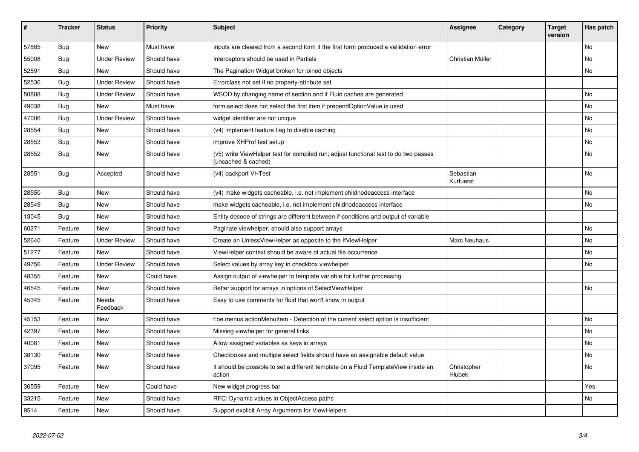| #     | <b>Tracker</b> | <b>Status</b>       | <b>Priority</b> | <b>Subject</b>                                                                                              | Assignee               | Category | <b>Target</b><br>version | Has patch |
|-------|----------------|---------------------|-----------------|-------------------------------------------------------------------------------------------------------------|------------------------|----------|--------------------------|-----------|
| 57885 | <b>Bug</b>     | New                 | Must have       | Inputs are cleared from a second form if the first form produced a vallidation error                        |                        |          |                          | <b>No</b> |
| 55008 | Bug            | Under Review        | Should have     | Interceptors should be used in Partials                                                                     | Christian Müller       |          |                          | No        |
| 52591 | Bug            | <b>New</b>          | Should have     | The Pagination Widget broken for joined objects                                                             |                        |          |                          | No        |
| 52536 | Bug            | <b>Under Review</b> | Should have     | Errorclass not set if no property-attribute set                                                             |                        |          |                          |           |
| 50888 | Bug            | <b>Under Review</b> | Should have     | WSOD by changing name of section and if Fluid caches are generated                                          |                        |          |                          | No        |
| 49038 | Bug            | New                 | Must have       | form.select does not select the first item if prependOptionValue is used                                    |                        |          |                          | No        |
| 47006 | Bug            | <b>Under Review</b> | Should have     | widget identifier are not unique                                                                            |                        |          |                          | No        |
| 28554 | <b>Bug</b>     | New                 | Should have     | (v4) implement feature flag to disable caching                                                              |                        |          |                          | No        |
| 28553 | Bug            | New                 | Should have     | improve XHProf test setup                                                                                   |                        |          |                          | No        |
| 28552 | <b>Bug</b>     | New                 | Should have     | (v5) write ViewHelper test for compiled run; adjust functional test to do two passes<br>(uncached & cached) |                        |          |                          | No        |
| 28551 | <b>Bug</b>     | Accepted            | Should have     | (v4) backport VHTest                                                                                        | Sebastian<br>Kurfuerst |          |                          | No        |
| 28550 | Bug            | <b>New</b>          | Should have     | (v4) make widgets cacheable, i.e. not implement childnodeaccess interface                                   |                        |          |                          | No        |
| 28549 | Bug            | New                 | Should have     | make widgets cacheable, i.e. not implement childnodeaccess interface                                        |                        |          |                          | <b>No</b> |
| 13045 | Bug            | New                 | Should have     | Entity decode of strings are different between if-conditions and output of variable                         |                        |          |                          |           |
| 60271 | Feature        | <b>New</b>          | Should have     | Paginate viewhelper, should also support arrays                                                             |                        |          |                          | <b>No</b> |
| 52640 | Feature        | <b>Under Review</b> | Should have     | Create an UnlessViewHelper as opposite to the IfViewHelper                                                  | Marc Neuhaus           |          |                          | No        |
| 51277 | Feature        | <b>New</b>          | Should have     | ViewHelper context should be aware of actual file occurrence                                                |                        |          |                          | <b>No</b> |
| 49756 | Feature        | <b>Under Review</b> | Should have     | Select values by array key in checkbox viewhelper                                                           |                        |          |                          | No        |
| 48355 | Feature        | <b>New</b>          | Could have      | Assign output of viewhelper to template variable for further processing.                                    |                        |          |                          |           |
| 46545 | Feature        | <b>New</b>          | Should have     | Better support for arrays in options of SelectViewHelper                                                    |                        |          |                          | <b>No</b> |
| 45345 | Feature        | Needs<br>Feedback   | Should have     | Easy to use comments for fluid that won't show in output                                                    |                        |          |                          |           |
| 45153 | Feature        | New                 | Should have     | f:be.menus.actionMenuItem - Detection of the current select option is insufficient                          |                        |          |                          | No        |
| 42397 | Feature        | <b>New</b>          | Should have     | Missing viewhelper for general links                                                                        |                        |          |                          | No        |
| 40081 | Feature        | New                 | Should have     | Allow assigned variables as keys in arrays                                                                  |                        |          |                          | No        |
| 38130 | Feature        | <b>New</b>          | Should have     | Checkboxes and multiple select fields should have an assignable default value                               |                        |          |                          | No        |
| 37095 | Feature        | <b>New</b>          | Should have     | It should be possible to set a different template on a Fluid TemplateView inside an<br>action               | Christopher<br>Hlubek  |          |                          | No        |
| 36559 | Feature        | <b>New</b>          | Could have      | New widget progress bar                                                                                     |                        |          |                          | Yes       |
| 33215 | Feature        | <b>New</b>          | Should have     | RFC: Dynamic values in ObjectAccess paths                                                                   |                        |          |                          | No        |
| 9514  | Feature        | New                 | Should have     | Support explicit Array Arguments for ViewHelpers                                                            |                        |          |                          |           |